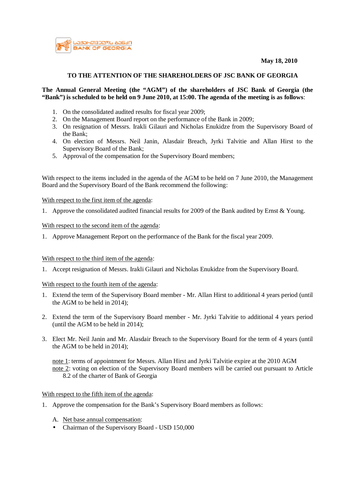



# **TO THE ATTENTION OF THE SHAREHOLDERS OF JSC BANK OF GEORGIA**

### **The Annual General Meeting (the "AGM") of the shareholders of JSC Bank of Georgia (the**  "Bank") is scheduled to be held on 9 June 2010, at 15:00. The agenda of the meeting is as follows:

- 1. On the consolidated audited results for fiscal year 2009;
- 2. On the Management Board report on the performance of the Bank in 2009;
- 3. On resignation of Messrs. Irakli Gilauri and Nicholas Enukidze from the Supervisory Board of the Bank;
- 4. On election of Messrs. Neil Janin, Alasdair Breach, Jyrki Talvitie and Allan Hirst to the Supervisory Board of the Bank;
- 5. Approval of the compensation for the Supervisory Board members;

With respect to the items included in the agenda of the AGM to be held on 7 June 2010, the Management Board and the Supervisory Board of the Bank recommend the following:

With respect to the first item of the agenda:

1. Approve the consolidated audited financial results for 2009 of the Bank audited by Ernst & Young.

# With respect to the second item of the agenda:

1. Approve Management Report on the performance of the Bank for the fiscal year 2009.

### With respect to the third item of the agenda:

1. Accept resignation of Messrs. Irakli Gilauri and Nicholas Enukidze from the Supervisory Board.

### With respect to the fourth item of the agenda:

- 1. Extend the term of the Supervisory Board member Mr. Allan Hirst to additional 4 years period (until the AGM to be held in 2014);
- 2. Extend the term of the Supervisory Board member Mr. Jyrki Talvitie to additional 4 years period (until the AGM to be held in 2014);
- 3. Elect Mr. Neil Janin and Mr. Alasdair Breach to the Supervisory Board for the term of 4 years (until the AGM to be held in 2014);

note 1: terms of appointment for Messrs. Allan Hirst and Jyrki Talvitie expire at the 2010 AGM note 2: voting on election of the Supervisory Board members will be carried out pursuant to Article 8.2 of the charter of Bank of Georgia

### With respect to the fifth item of the agenda:

- 1. Approve the compensation for the Bank's Supervisory Board members as follows:
	- A. Net base annual compensation:
	- Chairman of the Supervisory Board USD 150,000